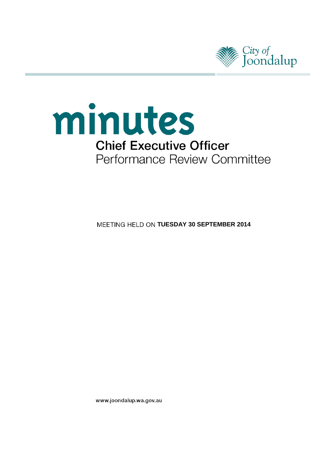



**MEETING HELD ON TUESDAY 30 SEPTEMBER 2014** 

www.joondalup.wa.gov.au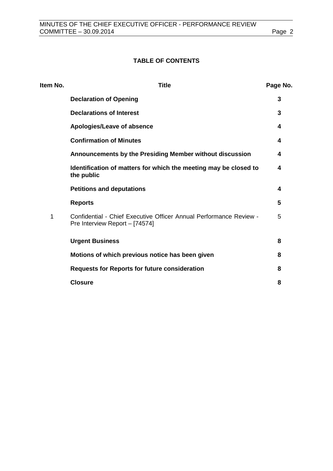# **TABLE OF CONTENTS**

| <b>Title</b>                                                                                         | Page No. |
|------------------------------------------------------------------------------------------------------|----------|
| <b>Declaration of Opening</b>                                                                        | 3        |
| <b>Declarations of Interest</b>                                                                      | 3        |
| Apologies/Leave of absence                                                                           | 4        |
| <b>Confirmation of Minutes</b>                                                                       | 4        |
| Announcements by the Presiding Member without discussion                                             | 4        |
| Identification of matters for which the meeting may be closed to<br>the public                       | 4        |
| <b>Petitions and deputations</b>                                                                     | 4        |
| <b>Reports</b>                                                                                       | 5        |
| Confidential - Chief Executive Officer Annual Performance Review -<br>Pre Interview Report - [74574] | 5        |
| <b>Urgent Business</b>                                                                               | 8        |
| Motions of which previous notice has been given                                                      | 8        |
| <b>Requests for Reports for future consideration</b>                                                 | 8        |
| <b>Closure</b>                                                                                       | 8        |
|                                                                                                      |          |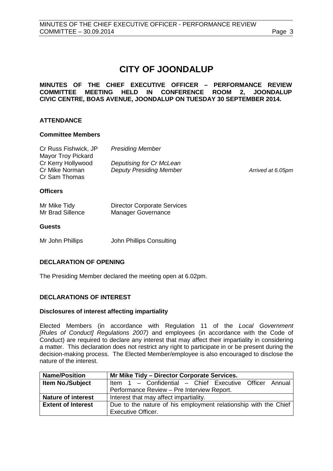# **CITY OF JOONDALUP**

# **MINUTES OF THE CHIEF EXECUTIVE OFFICER – PERFORMANCE REVIEW COMMITTEE MEETING HELD IN CONFERENCE ROOM 2, JOONDALUP CIVIC CENTRE, BOAS AVENUE, JOONDALUP ON TUESDAY 30 SEPTEMBER 2014.**

# **ATTENDANCE**

## **Committee Members**

| Cr Russ Fishwick, JP<br><b>Mayor Troy Pickard</b><br>Cr Kerry Hollywood<br>Cr Mike Norman<br>Cr Sam Thomas | <b>Presiding Member</b><br>Deputising for Cr McLean<br><b>Deputy Presiding Member</b> | Arrived at 6.05pm |
|------------------------------------------------------------------------------------------------------------|---------------------------------------------------------------------------------------|-------------------|
| <b>Officers</b>                                                                                            |                                                                                       |                   |
| Mr Mike Tidy<br>Mr Brad Sillence                                                                           | <b>Director Corporate Services</b><br>Manager Governance                              |                   |
| <b>Guests</b>                                                                                              |                                                                                       |                   |

Mr John Phillips John Phillips Consulting

# <span id="page-2-0"></span>**DECLARATION OF OPENING**

The Presiding Member declared the meeting open at 6.02pm.

# <span id="page-2-1"></span>**DECLARATIONS OF INTEREST**

#### **Disclosures of interest affecting impartiality**

Elected Members (in accordance with Regulation 11 of the *Local Government [Rules of Conduct] Regulations 2007)* and employees (in accordance with the Code of Conduct) are required to declare any interest that may affect their impartiality in considering a matter. This declaration does not restrict any right to participate in or be present during the decision-making process. The Elected Member/employee is also encouraged to disclose the nature of the interest.

| <b>Name/Position</b>      | Mr Mike Tidy - Director Corporate Services.                     |  |
|---------------------------|-----------------------------------------------------------------|--|
| <b>Item No./Subject</b>   | Item 1 - Confidential - Chief Executive Officer Annual          |  |
|                           | Performance Review - Pre Interview Report.                      |  |
| <b>Nature of interest</b> | Interest that may affect impartiality.                          |  |
| <b>Extent of Interest</b> | Due to the nature of his employment relationship with the Chief |  |
|                           | <b>Executive Officer.</b>                                       |  |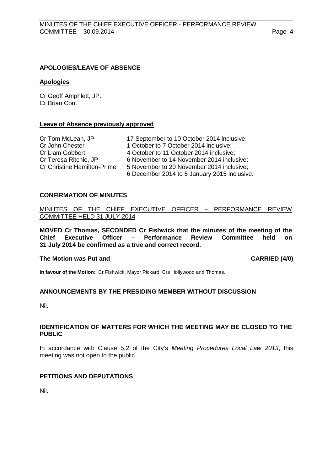#### <span id="page-3-0"></span>**APOLOGIES/LEAVE OF ABSENCE**

#### **Apologies**

Cr Geoff Amphlett, JP. Cr Brian Corr.

#### **Leave of Absence previously approved**

| Cr Tom McLean, JP                  | 17 September to 10 October 2014 inclusive;   |
|------------------------------------|----------------------------------------------|
| Cr John Chester                    | 1 October to 7 October 2014 inclusive;       |
| Cr Liam Gobbert                    | 4 October to 11 October 2014 inclusive;      |
| Cr Teresa Ritchie, JP              | 6 November to 14 November 2014 inclusive;    |
| <b>Cr Christine Hamilton-Prime</b> | 5 November to 20 November 2014 inclusive;    |
|                                    | 6 December 2014 to 5 January 2015 inclusive. |

#### <span id="page-3-1"></span>**CONFIRMATION OF MINUTES**

#### MINUTES OF THE CHIEF EXECUTIVE OFFICER – PERFORMANCE REVIEW COMMITTEE HELD 31 JULY 2014

**MOVED Cr Thomas, SECONDED Cr Fishwick that the minutes of the meeting of the Chief Executive Officer – Performance 31 July 2014 be confirmed as a true and correct record.**

#### **The Motion was Put and CARRIED (4/0)**

**In favour of the Motion:** Cr Fishwick, Mayor Pickard, Crs Hollywood and Thomas.

# <span id="page-3-2"></span>**ANNOUNCEMENTS BY THE PRESIDING MEMBER WITHOUT DISCUSSION**

Nil.

## <span id="page-3-3"></span>**IDENTIFICATION OF MATTERS FOR WHICH THE MEETING MAY BE CLOSED TO THE PUBLIC**

In accordance with Clause 5.2 of the City's *Meeting Procedures Local Law 2013*, this meeting was not open to the public.

# <span id="page-3-4"></span>**PETITIONS AND DEPUTATIONS**

Nil.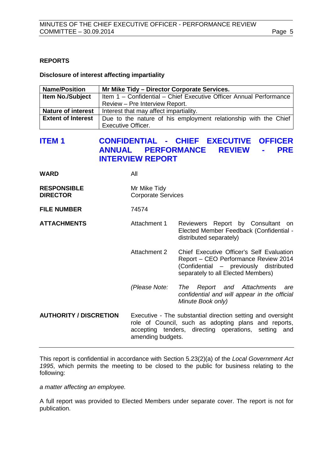# <span id="page-4-0"></span>**REPORTS**

#### **Disclosure of interest affecting impartiality**

| <b>Name/Position</b>      | Mr Mike Tidy - Director Corporate Services.                        |  |
|---------------------------|--------------------------------------------------------------------|--|
| <b>Item No./Subject</b>   | Item 1 - Confidential - Chief Executive Officer Annual Performance |  |
|                           | Review - Pre Interview Report.                                     |  |
| <b>Nature of interest</b> | Interest that may affect impartiality.                             |  |
| <b>Extent of Interest</b> | Due to the nature of his employment relationship with the Chief    |  |
|                           | <b>Executive Officer.</b>                                          |  |

# <span id="page-4-1"></span>**ITEM 1 CONFIDENTIAL - CHIEF EXECUTIVE OFFICER ANNUAL PERFORMANCE REVIEW - PRE INTERVIEW REPORT**

| WARD | All |
|------|-----|
|      |     |

| <b>RESPONSIBLE</b> | Mr Mike Tidy              |
|--------------------|---------------------------|
| <b>DIRECTOR</b>    | <b>Corporate Services</b> |

**FILE NUMBER** 74574

#### ATTACHMENTS **Attachment 1** Reviewers Report by Consultant on Elected Member Feedback (Confidential distributed separately)

- Attachment 2 Chief Executive Officer's Self Evaluation Report – CEO Performance Review 2014 (Confidential – previously distributed separately to all Elected Members)
- *(Please Note: The Report and Attachments are confidential and will appear in the official Minute Book only)*

**AUTHORITY / DISCRETION** Executive - The substantial direction setting and oversight role of Council, such as adopting plans and reports, accepting tenders, directing operations, setting and amending budgets.

This report is confidential in accordance with Section 5.23(2)(a) of the *Local Government Act 1995*, which permits the meeting to be closed to the public for business relating to the following:

*a matter affecting an employee.*

A full report was provided to Elected Members under separate cover. The report is not for publication.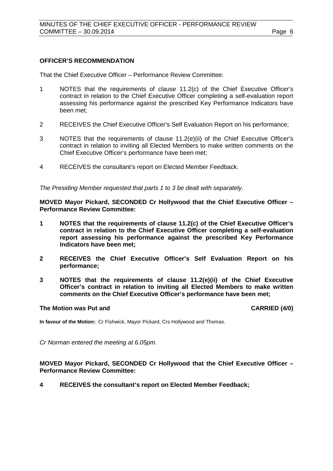## **OFFICER'S RECOMMENDATION**

That the Chief Executive Officer – Performance Review Committee:

- 1 NOTES that the requirements of clause 11.2(c) of the Chief Executive Officer's contract in relation to the Chief Executive Officer completing a self-evaluation report assessing his performance against the prescribed Key Performance Indicators have been met;
- 2 RECEIVES the Chief Executive Officer's Self Evaluation Report on his performance;
- 3 NOTES that the requirements of clause 11.2(e)(ii) of the Chief Executive Officer's contract in relation to inviting all Elected Members to make written comments on the Chief Executive Officer's performance have been met;
- 4 RECEIVES the consultant's report on Elected Member Feedback.

*The Presiding Member requested that parts 1 to 3 be dealt with separately.*

**MOVED Mayor Pickard, SECONDED Cr Hollywood that the Chief Executive Officer – Performance Review Committee:** 

- **1 NOTES that the requirements of clause 11.2(c) of the Chief Executive Officer's contract in relation to the Chief Executive Officer completing a self-evaluation report assessing his performance against the prescribed Key Performance Indicators have been met;**
- **2 RECEIVES the Chief Executive Officer's Self Evaluation Report on his performance;**
- **3 NOTES that the requirements of clause 11.2(e)(ii) of the Chief Executive Officer's contract in relation to inviting all Elected Members to make written comments on the Chief Executive Officer's performance have been met;**

#### **The Motion was Put and CARRIED (4/0)**

**In favour of the Motion:** Cr Fishwick, Mayor Pickard, Crs Hollywood and Thomas.

*Cr Norman entered the meeting at 6.05pm.*

**MOVED Mayor Pickard, SECONDED Cr Hollywood that the Chief Executive Officer – Performance Review Committee:** 

**4 RECEIVES the consultant's report on Elected Member Feedback;**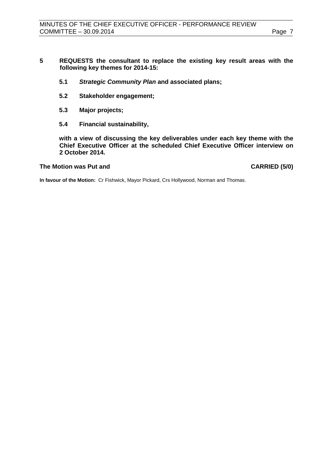- **5 REQUESTS the consultant to replace the existing key result areas with the following key themes for 2014-15:**
	- **5.1** *Strategic Community Plan* **and associated plans;**
	- **5.2 Stakeholder engagement;**
	- **5.3 Major projects;**
	- **5.4 Financial sustainability,**

**with a view of discussing the key deliverables under each key theme with the Chief Executive Officer at the scheduled Chief Executive Officer interview on 2 October 2014.** 

## **The Motion was Put and CARRIED (5/0)**

**In favour of the Motion:** Cr Fishwick, Mayor Pickard, Crs Hollywood, Norman and Thomas.